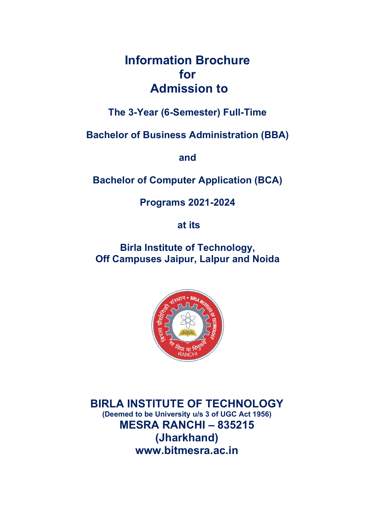# Information Brochure for Admission to

The 3-Year (6-Semester) Full-Time

Bachelor of Business Administration (BBA)

and

Bachelor of Computer Application (BCA)

Programs 2021-2024

at its

Birla Institute of Technology, Off Campuses Jaipur, Lalpur and Noida



BIRLA INSTITUTE OF TECHNOLOGY (Deemed to be University u/s 3 of UGC Act 1956) MESRA RANCHI – 835215 (Jharkhand) www.bitmesra.ac.in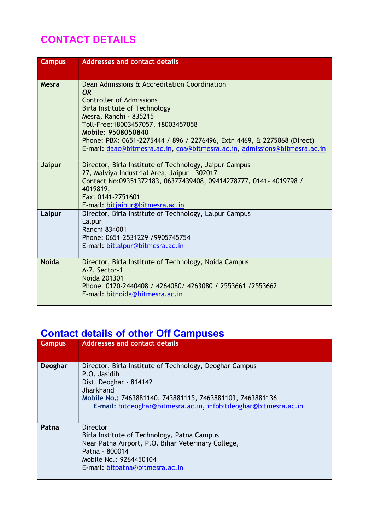# CONTACT DETAILS

| <b>Campus</b> | <b>Addresses and contact details</b>                                                                                                                                                                                                                                                                                                                                           |
|---------------|--------------------------------------------------------------------------------------------------------------------------------------------------------------------------------------------------------------------------------------------------------------------------------------------------------------------------------------------------------------------------------|
| Mesra         | Dean Admissions & Accreditation Coordination<br>OR.<br><b>Controller of Admissions</b><br><b>Birla Institute of Technology</b><br>Mesra, Ranchi - 835215<br>Toll-Free: 18003457057, 18003457058<br>Mobile: 9508050840<br>Phone: PBX: 0651-2275444 / 896 / 2276496, Extn 4469, & 2275868 (Direct)<br>E-mail: daac@bitmesra.ac.in, coa@bitmesra.ac.in, admissions@bitmesra.ac.in |
| <b>Jaipur</b> | Director, Birla Institute of Technology, Jaipur Campus<br>27, Malviya Industrial Area, Jaipur - 302017<br>Contact No:09351372183, 06377439408, 09414278777, 0141- 4019798 /<br>4019819,<br>Fax: 0141-2751601<br>E-mail: bitjaipur@bitmesra.ac.in                                                                                                                               |
| Lalpur        | Director, Birla Institute of Technology, Lalpur Campus<br>Lalpur<br>Ranchi 834001<br>Phone: 0651-2531229 / 9905745754<br>E-mail: bitlalpur@bitmesra.ac.in                                                                                                                                                                                                                      |
| <b>Noida</b>  | Director, Birla Institute of Technology, Noida Campus<br>A-7, Sector-1<br><b>Noida 201301</b><br>Phone: 0120-2440408 / 4264080/ 4263080 / 2553661 / 2553662<br>E-mail: bitnoida@bitmesra.ac.in                                                                                                                                                                                 |

# Contact details of other Off Campuses

| <b>Campus</b> | <b>Addresses and contact details</b>                                                                                                                                                                                                            |
|---------------|-------------------------------------------------------------------------------------------------------------------------------------------------------------------------------------------------------------------------------------------------|
| Deoghar       | Director, Birla Institute of Technology, Deoghar Campus<br>P.O. Jasidih<br>Dist. Deoghar - 814142<br>Jharkhand<br>Mobile No.: 7463881140, 743881115, 7463881103, 7463881136<br>E-mail: bitdeoghar@bitmesra.ac.in, infobitdeoghar@bitmesra.ac.in |
| Patna         | <b>Director</b><br>Birla Institute of Technology, Patna Campus<br>Near Patna Airport, P.O. Bihar Veterinary College,<br>Patna - 800014<br>Mobile No.: 9264450104<br>E-mail: bitpatna@bitmesra.ac.in                                             |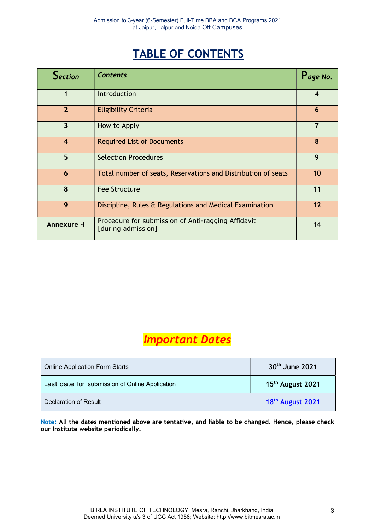# TABLE OF CONTENTS

| Section                 | <b>Contents</b>                                                          | Page No.                |
|-------------------------|--------------------------------------------------------------------------|-------------------------|
|                         | Introduction                                                             | $\overline{\mathbf{4}}$ |
| $\overline{2}$          | <b>Eligibility Criteria</b>                                              | 6                       |
| 3                       | How to Apply                                                             | $\overline{7}$          |
| $\overline{\mathbf{4}}$ | <b>Required List of Documents</b>                                        | 8                       |
| 5                       | <b>Selection Procedures</b>                                              | 9                       |
| 6                       | Total number of seats, Reservations and Distribution of seats            | 10                      |
| 8                       | <b>Fee Structure</b>                                                     | 11                      |
| 9                       | Discipline, Rules & Regulations and Medical Examination                  | 12                      |
| Annexure -I             | Procedure for submission of Anti-ragging Affidavit<br>[during admission] | 14                      |

# Important Dates

| <b>Online Application Form Starts</b>          | 30 <sup>th</sup> June 2021   |
|------------------------------------------------|------------------------------|
| Last date for submission of Online Application | 15 <sup>th</sup> August 2021 |
| Declaration of Result                          | 18 <sup>th</sup> August 2021 |

Note: All the dates mentioned above are tentative, and liable to be changed. Hence, please check our Institute website periodically.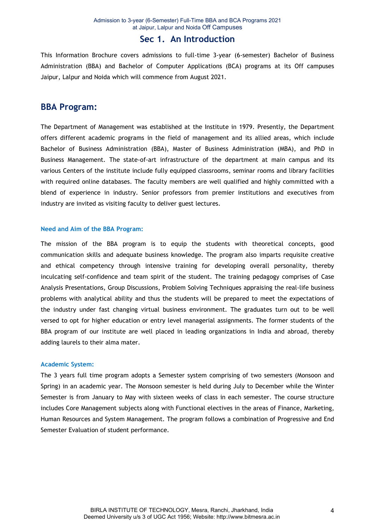### Sec 1. An Introduction

This Information Brochure covers admissions to full-time 3-year (6-semester) Bachelor of Business Administration (BBA) and Bachelor of Computer Applications (BCA) programs at its Off campuses Jaipur, Lalpur and Noida which will commence from August 2021.

### BBA Program:

The Department of Management was established at the Institute in 1979. Presently, the Department offers different academic programs in the field of management and its allied areas, which include Bachelor of Business Administration (BBA), Master of Business Administration (MBA), and PhD in Business Management. The state-of-art infrastructure of the department at main campus and its various Centers of the institute include fully equipped classrooms, seminar rooms and library facilities with required online databases. The faculty members are well qualified and highly committed with a blend of experience in industry. Senior professors from premier institutions and executives from industry are invited as visiting faculty to deliver guest lectures.

#### Need and Aim of the BBA Program:

The mission of the BBA program is to equip the students with theoretical concepts, good communication skills and adequate business knowledge. The program also imparts requisite creative and ethical competency through intensive training for developing overall personality, thereby inculcating self-confidence and team spirit of the student. The training pedagogy comprises of Case Analysis Presentations, Group Discussions, Problem Solving Techniques appraising the real-life business problems with analytical ability and thus the students will be prepared to meet the expectations of the industry under fast changing virtual business environment. The graduates turn out to be well versed to opt for higher education or entry level managerial assignments. The former students of the BBA program of our institute are well placed in leading organizations in India and abroad, thereby adding laurels to their alma mater.

#### Academic System:

The 3 years full time program adopts a Semester system comprising of two semesters (Monsoon and Spring) in an academic year. The Monsoon semester is held during July to December while the Winter Semester is from January to May with sixteen weeks of class in each semester. The course structure includes Core Management subjects along with Functional electives in the areas of Finance, Marketing, Human Resources and System Management. The program follows a combination of Progressive and End Semester Evaluation of student performance.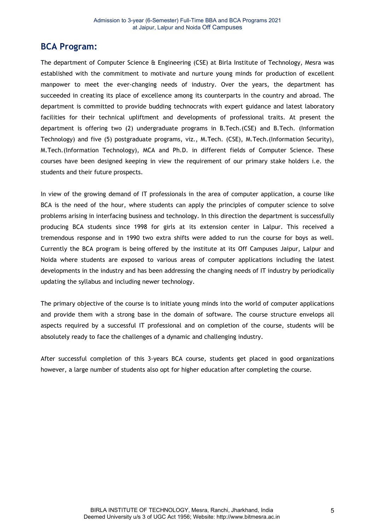## BCA Program:

The department of Computer Science & Engineering (CSE) at Birla Institute of Technology, Mesra was established with the commitment to motivate and nurture young minds for production of excellent manpower to meet the ever-changing needs of industry. Over the years, the department has succeeded in creating its place of excellence among its counterparts in the country and abroad. The department is committed to provide budding technocrats with expert guidance and latest laboratory facilities for their technical upliftment and developments of professional traits. At present the department is offering two (2) undergraduate programs in B.Tech.(CSE) and B.Tech. (Information Technology) and five (5) postgraduate programs, viz., M.Tech. (CSE), M.Tech.(Information Security), M.Tech.(Information Technology), MCA and Ph.D. in different fields of Computer Science. These courses have been designed keeping in view the requirement of our primary stake holders i.e. the students and their future prospects.

In view of the growing demand of IT professionals in the area of computer application, a course like BCA is the need of the hour, where students can apply the principles of computer science to solve problems arising in interfacing business and technology. In this direction the department is successfully producing BCA students since 1998 for girls at its extension center in Lalpur. This received a tremendous response and in 1990 two extra shifts were added to run the course for boys as well. Currently the BCA program is being offered by the institute at its Off Campuses Jaipur, Lalpur and Noida where students are exposed to various areas of computer applications including the latest developments in the industry and has been addressing the changing needs of IT industry by periodically updating the syllabus and including newer technology.

The primary objective of the course is to initiate young minds into the world of computer applications and provide them with a strong base in the domain of software. The course structure envelops all aspects required by a successful IT professional and on completion of the course, students will be absolutely ready to face the challenges of a dynamic and challenging industry.

After successful completion of this 3-years BCA course, students get placed in good organizations however, a large number of students also opt for higher education after completing the course.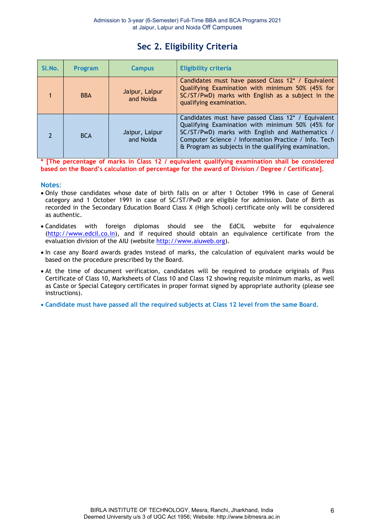# Sec 2. Eligibility Criteria

| SI.No.                   | Program    | <b>Campus</b>               | <b>Eligibility criteria</b>                                                                                                                                                                                                                                               |
|--------------------------|------------|-----------------------------|---------------------------------------------------------------------------------------------------------------------------------------------------------------------------------------------------------------------------------------------------------------------------|
|                          | <b>BBA</b> | Jaipur, Lalpur<br>and Noida | Candidates must have passed Class 12* / Equivalent<br>Qualifying Examination with minimum 50% (45% for<br>SC/ST/PwD) marks with English as a subject in the<br>qualifying examination.                                                                                    |
| $\overline{\phantom{a}}$ | <b>BCA</b> | Jaipur, Lalpur<br>and Noida | Candidates must have passed Class 12* / Equivalent<br>Qualifying Examination with minimum 50% (45% for<br>SC/ST/PwD) marks with English and Mathematics /<br>Computer Science / Information Practice / Info. Tech<br>& Program as subjects in the qualifying examination. |

[The percentage of marks in Class 12 / equivalent qualifying examination shall be considered based on the Board's calculation of percentage for the award of Division / Degree / Certificate].

#### Notes:

- Only those candidates whose date of birth falls on or after 1 October 1996 in case of General category and 1 October 1991 in case of SC/ST/PwD are eligible for admission. Date of Birth as recorded in the Secondary Education Board Class X (High School) certificate only will be considered as authentic.
- Candidates with foreign diplomas should see the EdCIL website for equivalence (http://www.edcil.co.in), and if required should obtain an equivalence certificate from the evaluation division of the AIU (website http://www.aiuweb.org).
- In case any Board awards grades instead of marks, the calculation of equivalent marks would be based on the procedure prescribed by the Board.
- At the time of document verification, candidates will be required to produce originals of Pass Certificate of Class 10, Marksheets of Class 10 and Class 12 showing requisite minimum marks, as well as Caste or Special Category certificates in proper format signed by appropriate authority (please see instructions).
- Candidate must have passed all the required subjects at Class 12 level from the same Board.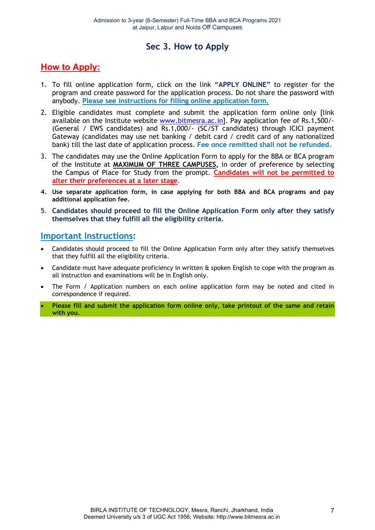# Sec 3. How to Apply

## How to Apply:

- 1. To fill online application form, click on the link "APPLY ONLINE" to register for the program and create password for the application process. Do not share the password with anybody. Please see instructions for filling online application form.
- 2. Eligible candidates must complete and submit the application form online only [link available on the Institute website www.bitmesra.ac.in]. Pay application fee of Rs.1,500/-(General / EWS candidates) and Rs.1,000/- (SC/ST candidates) through ICICI payment Gateway (candidates may use net banking / debit card / credit card of any nationalized bank) till the last date of application process. Fee once remitted shall not be refunded.
- 3. The candidates may use the Online Application Form to apply for the BBA or BCA program of the Institute at MAXIMUM OF THREE CAMPUSES, in order of preference by selecting the Campus of Place for Study from the prompt. Candidates will not be permitted to alter their preferences at a later stage.
- 4. Use separate application form, in case applying for both BBA and BCA programs and pay additional application fee.
- 5. Candidates should proceed to fill the Online Application Form only after they satisfy themselves that they fulfill all the eligibility criteria.

### Important Instructions:

- Candidates should proceed to fill the Online Application Form only after they satisfy themselves that they fulfill all the eligibility criteria.
- Candidate must have adequate proficiency in written  $\theta$  spoken English to cope with the program as all instruction and examinations will be in English only.
- The Form / Application numbers on each online application form may be noted and cited in correspondence if required.
- Please fill and submit the application form online only, take printout of the same and retain with you.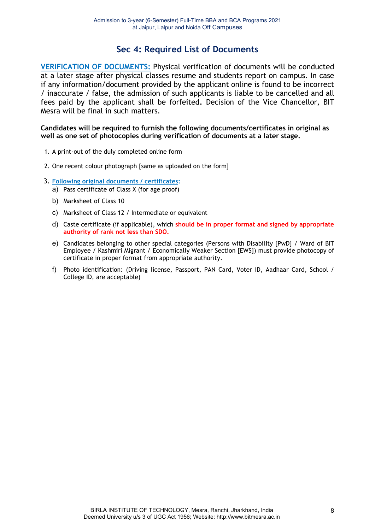## Sec 4: Required List of Documents

VERIFICATION OF DOCUMENTS: Physical verification of documents will be conducted at a later stage after physical classes resume and students report on campus. In case if any information/document provided by the applicant online is found to be incorrect / inaccurate / false, the admission of such applicants is liable to be cancelled and all fees paid by the applicant shall be forfeited. Decision of the Vice Chancellor, BIT Mesra will be final in such matters.

#### Candidates will be required to furnish the following documents/certificates in original as well as one set of photocopies during verification of documents at a later stage.

- 1. A print-out of the duly completed online form
- 2. One recent colour photograph [same as uploaded on the form]
- 3. Following original documents / certificates:
	- a) Pass certificate of Class X (for age proof)
	- b) Marksheet of Class 10
	- c) Marksheet of Class 12 / Intermediate or equivalent
	- d) Caste certificate (if applicable), which should be in proper format and signed by appropriate authority of rank not less than SDO.
	- e) Candidates belonging to other special categories (Persons with Disability [PwD] / Ward of BIT Employee / Kashmiri Migrant / Economically Weaker Section [EWS]) must provide photocopy of certificate in proper format from appropriate authority.
	- f) Photo identification: (Driving license, Passport, PAN Card, Voter ID, Aadhaar Card, School / College ID, are acceptable)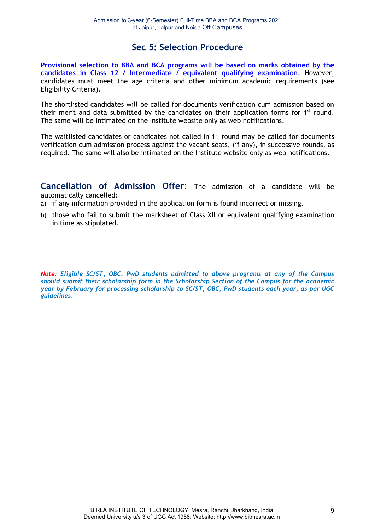## Sec 5: Selection Procedure

Provisional selection to BBA and BCA programs will be based on marks obtained by the candidates in Class 12 / Intermediate / equivalent qualifying examination. However, candidates must meet the age criteria and other minimum academic requirements (see Eligibility Criteria).

The shortlisted candidates will be called for documents verification cum admission based on their merit and data submitted by the candidates on their application forms for  $1<sup>st</sup>$  round. The same will be intimated on the Institute website only as web notifications.

The waitlisted candidates or candidates not called in 1<sup>st</sup> round may be called for documents verification cum admission process against the vacant seats, (if any), in successive rounds, as required. The same will also be intimated on the Institute website only as web notifications.

Cancellation of Admission Offer: The admission of a candidate will be automatically cancelled:

a) if any information provided in the application form is found incorrect or missing.

b) those who fail to submit the marksheet of Class XII or equivalent qualifying examination in time as stipulated.

Note: Eligible SC/ST, OBC, PwD students admitted to above programs at any of the Campus should submit their scholarship form in the Scholarship Section of the Campus for the academic year by February for processing scholarship to SC/ST, OBC, PwD students each year, as per UGC guidelines.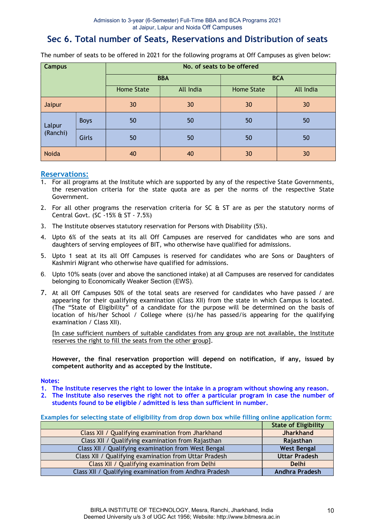# Sec 6. Total number of Seats, Reservations and Distribution of seats

| <b>Campus</b>      |             | No. of seats to be offered |           |                   |           |  |
|--------------------|-------------|----------------------------|-----------|-------------------|-----------|--|
|                    |             | <b>BBA</b>                 |           | <b>BCA</b>        |           |  |
|                    |             | <b>Home State</b>          | All India | <b>Home State</b> | All India |  |
| Jaipur             |             | 30                         | 30        | 30                | 30        |  |
| Lalpur<br>(Ranchi) | <b>Boys</b> | 50                         | 50        | 50                | 50        |  |
|                    | Girls       | 50                         | 50        | 50                | 50        |  |
| <b>Noida</b>       |             | 40                         | 40        | 30                | 30        |  |

The number of seats to be offered in 2021 for the following programs at Off Campuses as given below:

#### Reservations:

- 1. For all programs at the Institute which are supported by any of the respective State Governments, the reservation criteria for the state quota are as per the norms of the respective State Government.
- 2. For all other programs the reservation criteria for SC & ST are as per the statutory norms of Central Govt. (SC -15% & ST - 7.5%)
- 3. The Institute observes statutory reservation for Persons with Disability (5%).
- 4. Upto 6% of the seats at its all Off Campuses are reserved for candidates who are sons and daughters of serving employees of BIT, who otherwise have qualified for admissions.
- 5. Upto 1 seat at its all Off Campuses is reserved for candidates who are Sons or Daughters of Kashmiri Migrant who otherwise have qualified for admissions.
- 6. Upto 10% seats (over and above the sanctioned intake) at all Campuses are reserved for candidates belonging to Economically Weaker Section (EWS).
- 7. At all Off Campuses 50% of the total seats are reserved for candidates who have passed / are appearing for their qualifying examination (Class XII) from the state in which Campus is located. (The "State of Eligibility" of a candidate for the purpose will be determined on the basis of location of his/her School / College where (s)/he has passed/is appearing for the qualifying examination / Class XII).

[In case sufficient numbers of suitable candidates from any group are not available, the Institute reserves the right to fill the seats from the other group].

However, the final reservation proportion will depend on notification, if any, issued by competent authority and as accepted by the Institute.

#### Notes:

- 1. The Institute reserves the right to lower the intake in a program without showing any reason.
- 2. The Institute also reserves the right not to offer a particular program in case the number of students found to be eligible / admitted is less than sufficient in number.

| Examples for selecting state of eligibility from drop down box while filling online application form: |                             |  |  |
|-------------------------------------------------------------------------------------------------------|-----------------------------|--|--|
|                                                                                                       | <b>State of Eligibility</b> |  |  |
| Class XII / Qualifying examination from Jharkhand                                                     | <b>Jharkhand</b>            |  |  |
| Class XII / Qualifying examination from Rajasthan                                                     | Rajasthan                   |  |  |
| Class XII / Qualifying examination from West Bengal                                                   | <b>West Bengal</b>          |  |  |
| Class XII / Qualifying examination from Uttar Pradesh                                                 | <b>Uttar Pradesh</b>        |  |  |
| Class XII / Qualifying examination from Delhi                                                         | Delhi                       |  |  |
| Class XII / Qualifying examination from Andhra Pradesh                                                | <b>Andhra Pradesh</b>       |  |  |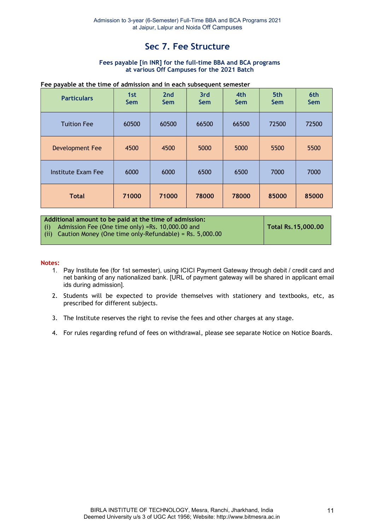# Sec 7. Fee Structure

#### Fees payable [in INR] for the full-time BBA and BCA programs at various Off Campuses for the 2021 Batch

#### Fee payable at the time of admission and in each subsequent semester

| <b>Particulars</b>     | 1st<br><b>Sem</b> | 2 <sub>nd</sub><br><b>Sem</b> | 3rd<br><b>Sem</b> | 4th<br><b>Sem</b> | 5th<br><b>Sem</b> | 6th<br><b>Sem</b> |
|------------------------|-------------------|-------------------------------|-------------------|-------------------|-------------------|-------------------|
| <b>Tuition Fee</b>     | 60500             | 60500                         | 66500             | 66500             | 72500             | 72500             |
| <b>Development Fee</b> | 4500              | 4500                          | 5000              | 5000              | 5500              | 5500              |
| Institute Exam Fee     | 6000              | 6000                          | 6500              | 6500              | 7000              | 7000              |
| <b>Total</b>           | 71000             | 71000                         | 78000             | 78000             | 85000             | 85000             |

| Additional amount to be paid at the time of admission:         |                    |
|----------------------------------------------------------------|--------------------|
| $(i)$ Admission Fee (One time only) =Rs. 10,000.00 and         | Total Rs.15,000.00 |
| (ii) Caution Money (One time only-Refundable) = Rs. $5,000.00$ |                    |
|                                                                |                    |

#### Notes:

- 1. Pay Institute fee (for 1st semester), using ICICI Payment Gateway through debit / credit card and net banking of any nationalized bank. [URL of payment gateway will be shared in applicant email ids during admission].
- 2. Students will be expected to provide themselves with stationery and textbooks, etc, as prescribed for different subjects.
- 3. The Institute reserves the right to revise the fees and other charges at any stage.
- 4. For rules regarding refund of fees on withdrawal, please see separate Notice on Notice Boards.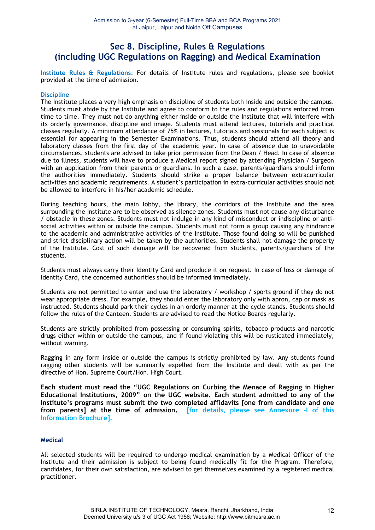## Sec 8. Discipline, Rules & Regulations (including UGC Regulations on Ragging) and Medical Examination

Institute Rules & Regulations: For details of Institute rules and regulations, please see booklet provided at the time of admission.

#### **Discipline**

The Institute places a very high emphasis on discipline of students both inside and outside the campus. Students must abide by the Institute and agree to conform to the rules and regulations enforced from time to time. They must not do anything either inside or outside the Institute that will interfere with its orderly governance, discipline and image. Students must attend lectures, tutorials and practical classes regularly. A minimum attendance of 75% in lectures, tutorials and sessionals for each subject is essential for appearing in the Semester Examinations. Thus, students should attend all theory and laboratory classes from the first day of the academic year. In case of absence due to unavoidable circumstances, students are advised to take prior permission from the Dean / Head. In case of absence due to illness, students will have to produce a Medical report signed by attending Physician / Surgeon with an application from their parents or guardians. In such a case, parents/guardians should inform the authorities immediately. Students should strike a proper balance between extracurricular activities and academic requirements. A student's participation in extra-curricular activities should not be allowed to interfere in his/her academic schedule.

During teaching hours, the main lobby, the library, the corridors of the Institute and the area surrounding the Institute are to be observed as silence zones. Students must not cause any disturbance / obstacle in these zones. Students must not indulge in any kind of misconduct or indiscipline or antisocial activities within or outside the campus. Students must not form a group causing any hindrance to the academic and administrative activities of the Institute. Those found doing so will be punished and strict disciplinary action will be taken by the authorities. Students shall not damage the property of the Institute. Cost of such damage will be recovered from students, parents/guardians of the students.

Students must always carry their Identity Card and produce it on request. In case of loss or damage of Identity Card, the concerned authorities should be informed immediately.

Students are not permitted to enter and use the laboratory / workshop / sports ground if they do not wear appropriate dress. For example, they should enter the laboratory only with apron, cap or mask as instructed. Students should park their cycles in an orderly manner at the cycle stands. Students should follow the rules of the Canteen. Students are advised to read the Notice Boards regularly.

Students are strictly prohibited from possessing or consuming spirits, tobacco products and narcotic drugs either within or outside the campus, and if found violating this will be rusticated immediately, without warning.

Ragging in any form inside or outside the campus is strictly prohibited by law. Any students found ragging other students will be summarily expelled from the Institute and dealt with as per the directive of Hon. Supreme Court/Hon. High Court.

Each student must read the "UGC Regulations on Curbing the Menace of Ragging in Higher Educational Institutions, 2009" on the UGC website. Each student admitted to any of the Institute's programs must submit the two completed affidavits [one from candidate and one from parents] at the time of admission. [for details, please see Annexure -I of this Information Brochure].

#### Medical

All selected students will be required to undergo medical examination by a Medical Officer of the Institute and their admission is subject to being found medically fit for the Program. Therefore, candidates, for their own satisfaction, are advised to get themselves examined by a registered medical practitioner.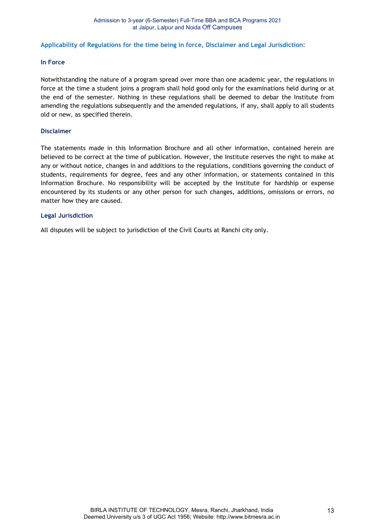#### Applicability of Regulations for the time being in force, Disclaimer and Legal Jurisdiction:

#### In Force

Notwithstanding the nature of a program spread over more than one academic year, the regulations in force at the time a student joins a program shall hold good only for the examinations held during or at the end of the semester. Nothing in these regulations shall be deemed to debar the Institute from amending the regulations subsequently and the amended regulations, if any, shall apply to all students old or new, as specified therein.

#### Disclaimer

The statements made in this Information Brochure and all other information, contained herein are believed to be correct at the time of publication. However, the Institute reserves the right to make at any or without notice, changes in and additions to the regulations, conditions governing the conduct of students, requirements for degree, fees and any other information, or statements contained in this Information Brochure. No responsibility will be accepted by the Institute for hardship or expense encountered by its students or any other person for such changes, additions, omissions or errors, no matter how they are caused.

#### Legal Jurisdiction

All disputes will be subject to jurisdiction of the Civil Courts at Ranchi city only.